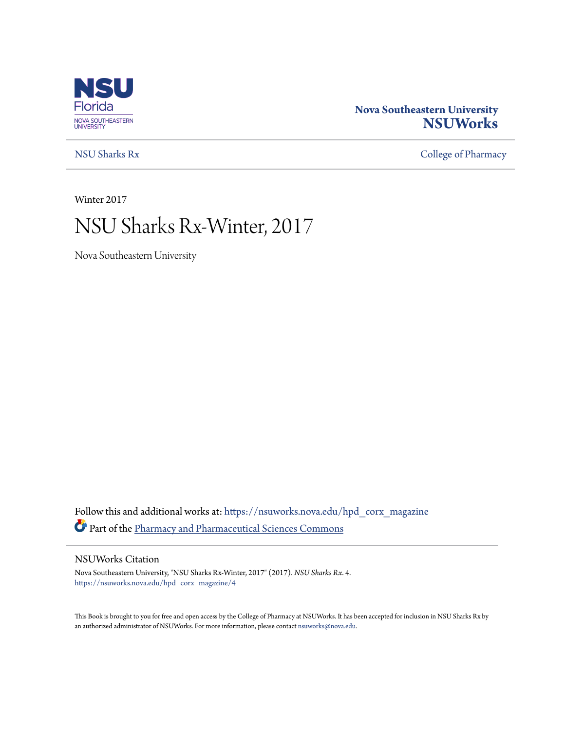

## **Nova Southeastern University [NSUWorks](https://nsuworks.nova.edu?utm_source=nsuworks.nova.edu%2Fhpd_corx_magazine%2F4&utm_medium=PDF&utm_campaign=PDFCoverPages)**

[NSU Sharks Rx](https://nsuworks.nova.edu/hpd_corx_magazine?utm_source=nsuworks.nova.edu%2Fhpd_corx_magazine%2F4&utm_medium=PDF&utm_campaign=PDFCoverPages) [College of Pharmacy](https://nsuworks.nova.edu/hpd_corx?utm_source=nsuworks.nova.edu%2Fhpd_corx_magazine%2F4&utm_medium=PDF&utm_campaign=PDFCoverPages)

Winter 2017

# NSU Sharks Rx-Winter, 2017

Nova Southeastern University

Follow this and additional works at: [https://nsuworks.nova.edu/hpd\\_corx\\_magazine](https://nsuworks.nova.edu/hpd_corx_magazine?utm_source=nsuworks.nova.edu%2Fhpd_corx_magazine%2F4&utm_medium=PDF&utm_campaign=PDFCoverPages) Part of the [Pharmacy and Pharmaceutical Sciences Commons](http://network.bepress.com/hgg/discipline/731?utm_source=nsuworks.nova.edu%2Fhpd_corx_magazine%2F4&utm_medium=PDF&utm_campaign=PDFCoverPages)

### NSUWorks Citation

Nova Southeastern University, "NSU Sharks Rx-Winter, 2017" (2017). *NSU Sharks Rx*. 4. [https://nsuworks.nova.edu/hpd\\_corx\\_magazine/4](https://nsuworks.nova.edu/hpd_corx_magazine/4?utm_source=nsuworks.nova.edu%2Fhpd_corx_magazine%2F4&utm_medium=PDF&utm_campaign=PDFCoverPages)

This Book is brought to you for free and open access by the College of Pharmacy at NSUWorks. It has been accepted for inclusion in NSU Sharks Rx by an authorized administrator of NSUWorks. For more information, please contact [nsuworks@nova.edu.](mailto:nsuworks@nova.edu)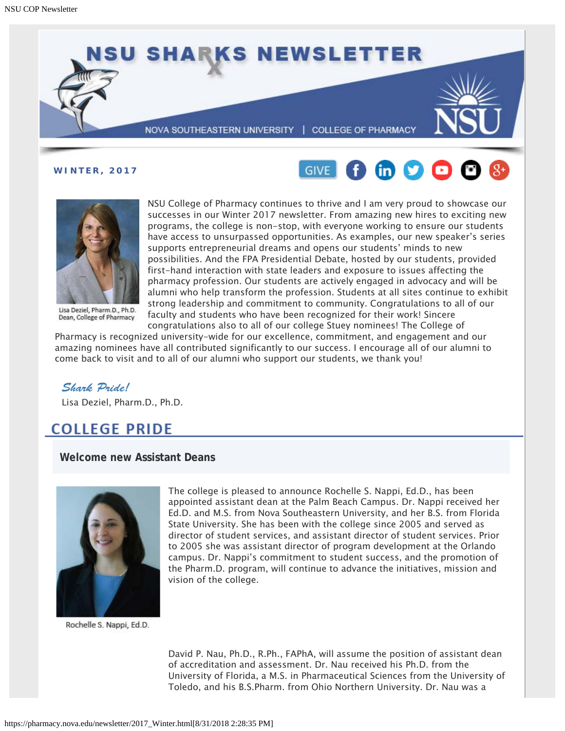

**WINTER, 2017**





Lisa Deziel, Pharm.D., Ph.D. Dean, College of Pharmacy

NSU College of Pharmacy continues to thrive and I am very proud to showcase our successes in our Winter 2017 newsletter. From amazing new hires to exciting new programs, the college is non-stop, with everyone working to ensure our students have access to unsurpassed opportunities. As examples, our new speaker's series supports entrepreneurial dreams and opens our students' minds to new possibilities. And the FPA Presidential Debate, hosted by our students, provided first-hand interaction with state leaders and exposure to issues affecting the pharmacy profession. Our students are actively engaged in advocacy and will be alumni who help transform the profession. Students at all sites continue to exhibit strong leadership and commitment to community. Congratulations to all of our faculty and students who have been recognized for their work! Sincere congratulations also to all of our college Stuey nominees! The College of

Pharmacy is recognized university-wide for our excellence, commitment, and engagement and our amazing nominees have all contributed significantly to our success. I encourage all of our alumni to come back to visit and to all of our alumni who support our students, we thank you!

### *Shark Pride!*

Lisa Deziel, Pharm.D., Ph.D.

## **COLLEGE PRIDE**

**Welcome new Assistant Deans**



Rochelle S. Nappi, Ed.D.

The college is pleased to announce Rochelle S. Nappi, Ed.D., has been appointed assistant dean at the Palm Beach Campus. Dr. Nappi received her Ed.D. and M.S. from Nova Southeastern University, and her B.S. from Florida State University. She has been with the college since 2005 and served as director of student services, and assistant director of student services. Prior to 2005 she was assistant director of program development at the Orlando campus. Dr. Nappi's commitment to student success, and the promotion of the Pharm.D. program, will continue to advance the initiatives, mission and vision of the college.

David P. Nau, Ph.D., R.Ph., FAPhA, will assume the position of assistant dean of accreditation and assessment. Dr. Nau received his Ph.D. from the University of Florida, a M.S. in Pharmaceutical Sciences from the University of Toledo, and his B.S.Pharm. from Ohio Northern University. Dr. Nau was a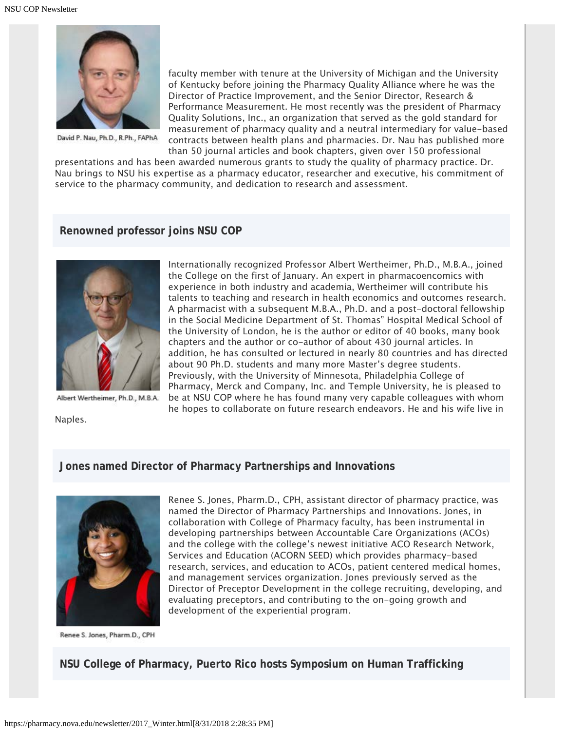

David P. Nau, Ph.D., R.Ph., FAPhA

faculty member with tenure at the University of Michigan and the University of Kentucky before joining the Pharmacy Quality Alliance where he was the Director of Practice Improvement, and the Senior Director, Research & Performance Measurement. He most recently was the president of Pharmacy Quality Solutions, Inc., an organization that served as the gold standard for measurement of pharmacy quality and a neutral intermediary for value-based contracts between health plans and pharmacies. Dr. Nau has published more than 50 journal articles and book chapters, given over 150 professional

presentations and has been awarded numerous grants to study the quality of pharmacy practice. Dr. Nau brings to NSU his expertise as a pharmacy educator, researcher and executive, his commitment of service to the pharmacy community, and dedication to research and assessment.

#### **Renowned professor joins NSU COP**



Albert Wertheimer, Ph.D., M.B.A.

Naples.

the College on the first of January. An expert in pharmacoencomics with experience in both industry and academia, Wertheimer will contribute his talents to teaching and research in health economics and outcomes research. A pharmacist with a subsequent M.B.A., Ph.D. and a post-doctoral fellowship in the Social Medicine Department of St. Thomas" Hospital Medical School of the University of London, he is the author or editor of 40 books, many book chapters and the author or co-author of about 430 journal articles. In addition, he has consulted or lectured in nearly 80 countries and has directed about 90 Ph.D. students and many more Master's degree students. Previously, with the University of Minnesota, Philadelphia College of Pharmacy, Merck and Company, Inc. and Temple University, he is pleased to be at NSU COP where he has found many very capable colleagues with whom he hopes to collaborate on future research endeavors. He and his wife live in

Internationally recognized Professor Albert Wertheimer, Ph.D., M.B.A., joined

#### **Jones named Director of Pharmacy Partnerships and Innovations**



Renee S. Jones, Pharm.D., CPH, assistant director of pharmacy practice, was named the Director of Pharmacy Partnerships and Innovations. Jones, in collaboration with College of Pharmacy faculty, has been instrumental in developing partnerships between Accountable Care Organizations (ACOs) and the college with the college's newest initiative ACO Research Network, Services and Education (ACORN SEED) which provides pharmacy-based research, services, and education to ACOs, patient centered medical homes, and management services organization. Jones previously served as the Director of Preceptor Development in the college recruiting, developing, and evaluating preceptors, and contributing to the on-going growth and development of the experiential program.

Renee S. Jones, Pharm.D., CPH

### **NSU College of Pharmacy, Puerto Rico hosts Symposium on Human Trafficking**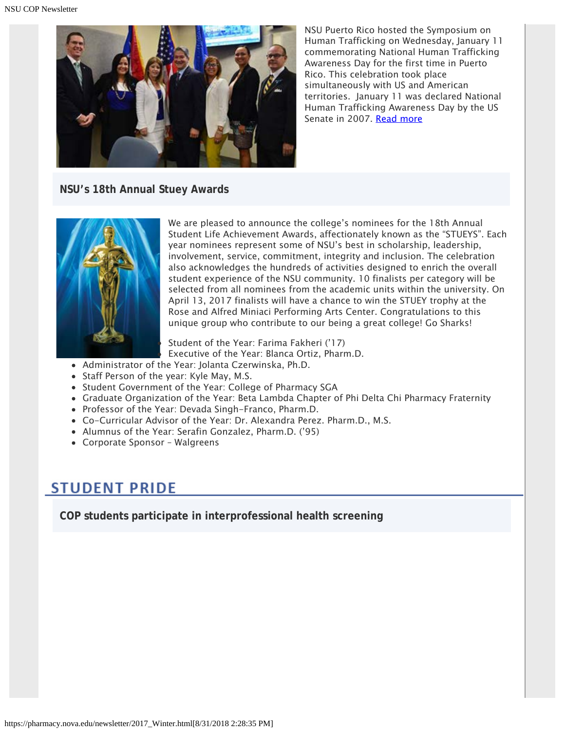

NSU Puerto Rico hosted the Symposium on Human Trafficking on Wednesday, January 11 commemorating National Human Trafficking Awareness Day for the first time in Puerto Rico. This celebration took place simultaneously with US and American territories. January 11 was declared National Human Trafficking Awareness Day by the US Senate in 2007. [Read more](https://nsunews.nova.edu/nsu-puerto-rico-hosts-symposium-on-human-trafficking/)

**NSU's 18th Annual Stuey Awards**



We are pleased to announce the college's nominees for the 18th Annual Student Life Achievement Awards, affectionately known as the "STUEYS". Each year nominees represent some of NSU's best in scholarship, leadership, involvement, service, commitment, integrity and inclusion. The celebration also acknowledges the hundreds of activities designed to enrich the overall student experience of the NSU community. 10 finalists per category will be selected from all nominees from the academic units within the university. On April 13, 2017 finalists will have a chance to win the STUEY trophy at the Rose and Alfred Miniaci Performing Arts Center. Congratulations to this unique group who contribute to our being a great college! Go Sharks!

Student of the Year: Farima Fakheri ('17) Executive of the Year: Blanca Ortiz, Pharm.D.

- Administrator of the Year: Jolanta Czerwinska, Ph.D.
- Staff Person of the year: Kyle May, M.S.
- Student Government of the Year: College of Pharmacy SGA
- Graduate Organization of the Year: Beta Lambda Chapter of Phi Delta Chi Pharmacy Fraternity
- Professor of the Year: Devada Singh-Franco, Pharm.D.
- Co-Curricular Advisor of the Year: Dr. Alexandra Perez. Pharm.D., M.S.
- Alumnus of the Year: Serafin Gonzalez, Pharm.D. ('95)
- Corporate Sponsor Walgreens

## **STUDENT PRIDE**

**COP students participate in interprofessional health screening**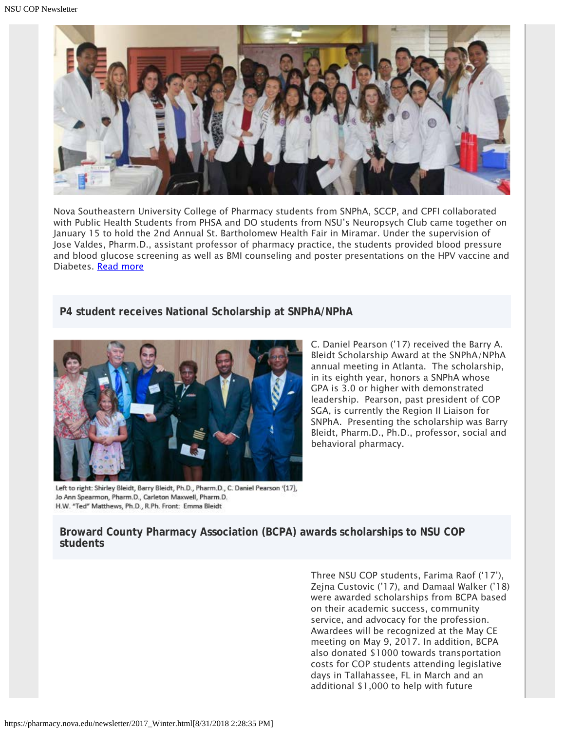

Nova Southeastern University College of Pharmacy students from SNPhA, SCCP, and CPFI collaborated with Public Health Students from PHSA and DO students from NSU's Neuropsych Club came together on January 15 to hold the 2nd Annual St. Bartholomew Health Fair in Miramar. Under the supervision of Jose Valdes, Pharm.D., assistant professor of pharmacy practice, the students provided blood pressure and blood glucose screening as well as BMI counseling and poster presentations on the HPV vaccine and Diabetes. [Read more](https://nsunews.nova.edu/community-outreach-nsu-interprofessional-health-screenings-held-in-miramar)

### **P4 student receives National Scholarship at SNPhA/NPhA**



C. Daniel Pearson ('17) received the Barry A. Bleidt Scholarship Award at the SNPhA/NPhA annual meeting in Atlanta. The scholarship, in its eighth year, honors a SNPhA whose GPA is 3.0 or higher with demonstrated leadership. Pearson, past president of COP SGA, is currently the Region II Liaison for SNPhA. Presenting the scholarship was Barry Bleidt, Pharm.D., Ph.D., professor, social and behavioral pharmacy.

Left to right: Shirley Bleidt, Barry Bleidt, Ph.D., Pharm.D., C. Daniel Pearson '(17), Jo Ann Spearmon, Pharm.D., Carleton Maxwell, Pharm.D. H.W. "Ted" Matthews, Ph.D., R.Ph. Front: Emma Bleidt

### **Broward County Pharmacy Association (BCPA) awards scholarships to NSU COP students**

Three NSU COP students, Farima Raof ('17'), Zejna Custovic ('17), and Damaal Walker ('18) were awarded scholarships from BCPA based on their academic success, community service, and advocacy for the profession. Awardees will be recognized at the May CE meeting on May 9, 2017. In addition, BCPA also donated \$1000 towards transportation costs for COP students attending legislative days in Tallahassee, FL in March and an additional \$1,000 to help with future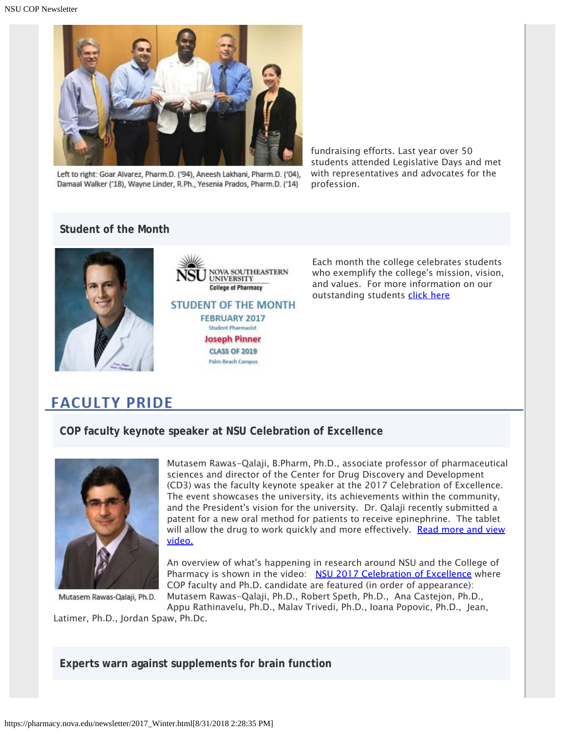

Left to right: Goar Alvarez, Pharm.D. ('94), Aneesh Lakhani, Pharm.D. ('04), Damaal Walker ('18), Wayne Linder, R.Ph., Yesenia Prados, Pharm.D. ('14)

fundraising efforts. Last year over 50 students attended Legislative Days and met with representatives and advocates for the profession.

## **Student of the Month**



**NOVA SOUTHEASTERN UNIVERSITY College of Pharmacy STUDENT OF THE MONTH FEBRUARY 2017 Student Pharmacist Joseph Pinner CLASS OF 2019 Palm Beach Campus** 

Each month the college celebrates students who exemplify the college's mission, vision, and values. For more information on our outstanding students [click here](https://pharmacy.nova.edu/students/som_february2017.html)

## **FACULTY PRIDE**

**COP faculty keynote speaker at NSU Celebration of Excellence**



Mutasem Rawas-Qalaji, Ph.D.

Mutasem Rawas-Qalaji, B.Pharm, Ph.D., associate professor of pharmaceutical sciences and director of the Center for Drug Discovery and Development (CD3) was the faculty keynote speaker at the 2017 Celebration of Excellence. The event showcases the university, its achievements within the community, and the President's vision for the university. Dr. Qalaji recently submitted a patent for a new oral method for patients to receive epinephrine. The tablet will allow the drug to work quickly and more effectively. [Read more and view](https://realizingpotential.nova.edu/stories/2016/c12_dc11_mutasem.html) [video.](https://realizingpotential.nova.edu/stories/2016/c12_dc11_mutasem.html)

An overview of what's happening in research around NSU and the College of Pharmacy is shown in the video: [NSU 2017 Celebration of Excellence](https://www.youtube.com/watch?v=p_cTmIxk5Lw) where COP faculty and Ph.D. candidate are featured (in order of appearance): Mutasem Rawas-Qalaji, Ph.D., Robert Speth, Ph.D., Ana Castejon, Ph.D.,

Appu Rathinavelu, Ph.D., Malav Trivedi, Ph.D., Ioana Popovic, Ph.D., Jean,

Latimer, Ph.D., Jordan Spaw, Ph.Dc.

**Experts warn against supplements for brain function**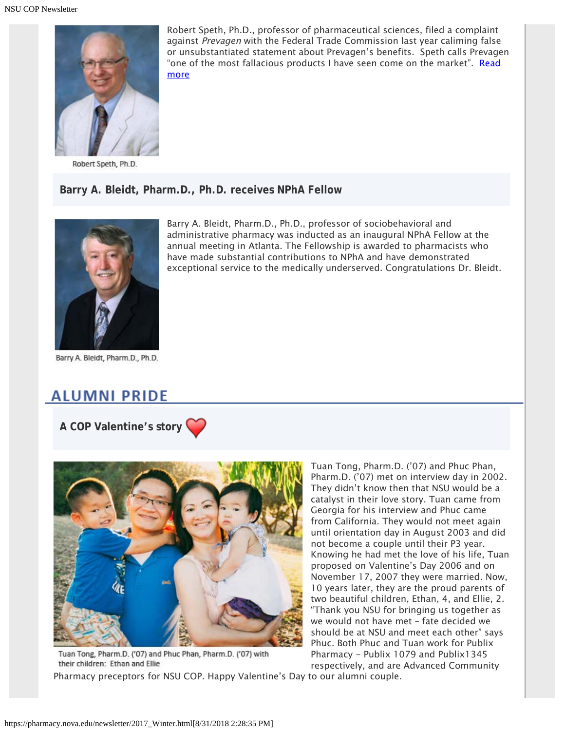

Robert Speth, Ph.D.

**Barry A. Bleidt, Pharm.D., Ph.D. receives NPhA Fellow**



Barry A. Bleidt, Pharm.D., Ph.D.

## **ALUMNI PRIDE**

**A COP Valentine's story** 



Tuan Tong, Pharm.D. ('07) and Phuc Phan, Pharm.D. ('07) with their children: Ethan and Ellie

Tuan Tong, Pharm.D. ('07) and Phuc Phan, Pharm.D. ('07) met on interview day in 2002. They didn't know then that NSU would be a catalyst in their love story. Tuan came from Georgia for his interview and Phuc came from California. They would not meet again until orientation day in August 2003 and did not become a couple until their P3 year. Knowing he had met the love of his life, Tuan proposed on Valentine's Day 2006 and on November 17, 2007 they were married. Now, 10 years later, they are the proud parents of two beautiful children, Ethan, 4, and Ellie, 2. "Thank you NSU for bringing us together as we would not have met – fate decided we should be at NSU and meet each other" says Phuc. Both Phuc and Tuan work for Publix Pharmacy - Publix 1079 and Publix1345 respectively, and are Advanced Community

Pharmacy preceptors for NSU COP. Happy Valentine's Day to our alumni couple.

Robert Speth, Ph.D., professor of pharmaceutical sciences, filed a complaint against Prevagen with the Federal Trade Commission last year caliming false or unsubstantiated statement about Prevagen's benefits. Speth calls Prevagen "one of the most fallacious products I have seen come on the market". [Read](http://www.sun-sentinel.com/health/fl-unproven-memory-supplement-sales-target-seniors-20170202-story.html) [more](http://www.sun-sentinel.com/health/fl-unproven-memory-supplement-sales-target-seniors-20170202-story.html)

Barry A. Bleidt, Pharm.D., Ph.D., professor of sociobehavioral and

administrative pharmacy was inducted as an inaugural NPhA Fellow at the annual meeting in Atlanta. The Fellowship is awarded to pharmacists who have made substantial contributions to NPhA and have demonstrated

exceptional service to the medically underserved. Congratulations Dr. Bleidt.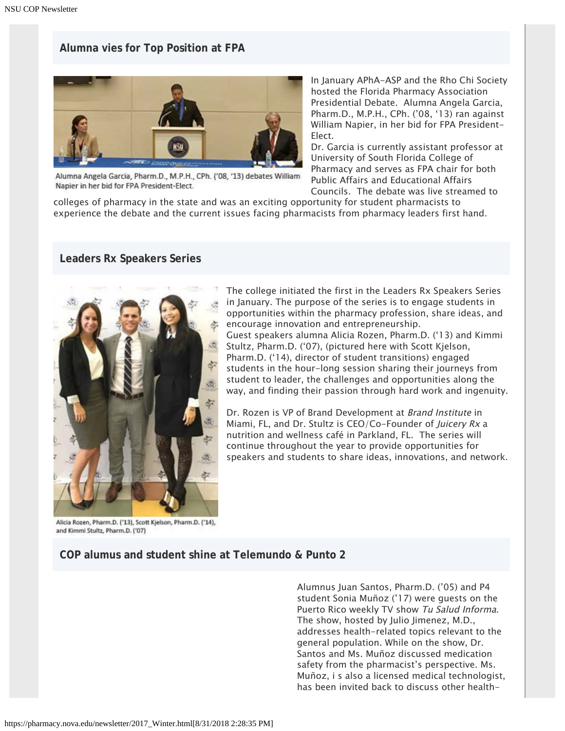### **Alumna vies for Top Position at FPA**



Alumna Angela Garcia, Pharm.D., M.P.H., CPh. ('08, '13) debates William Napier in her bid for FPA President-Elect.

In January APhA-ASP and the Rho Chi Society hosted the Florida Pharmacy Association Presidential Debate. Alumna Angela Garcia, Pharm.D., M.P.H., CPh. ('08, '13) ran against William Napier, in her bid for FPA President-Elect.

Dr. Garcia is currently assistant professor at University of South Florida College of Pharmacy and serves as FPA chair for both Public Affairs and Educational Affairs Councils. The debate was live streamed to

colleges of pharmacy in the state and was an exciting opportunity for student pharmacists to experience the debate and the current issues facing pharmacists from pharmacy leaders first hand.

#### **Leaders Rx Speakers Series**



The college initiated the first in the Leaders Rx Speakers Series in January. The purpose of the series is to engage students in opportunities within the pharmacy profession, share ideas, and encourage innovation and entrepreneurship.

Guest speakers alumna Alicia Rozen, Pharm.D. ('13) and Kimmi Stultz, Pharm.D. ('07), (pictured here with Scott Kjelson, Pharm.D. ('14), director of student transitions) engaged students in the hour-long session sharing their journeys from student to leader, the challenges and opportunities along the way, and finding their passion through hard work and ingenuity.

Dr. Rozen is VP of Brand Development at Brand Institute in Miami, FL, and Dr. Stultz is CEO/Co-Founder of *Juicery Rx* a nutrition and wellness café in Parkland, FL. The series will continue throughout the year to provide opportunities for speakers and students to share ideas, innovations, and network.

Alicia Rozen, Pharm.D. ('13), Scott Kjelson, Pharm.D. ('14), and Kimmi Stultz, Pharm.D. ('07)

### **COP alumus and student shine at Telemundo & Punto 2**

Alumnus Juan Santos, Pharm.D. ('05) and P4 student Sonia Muñoz ('17) were guests on the Puerto Rico weekly TV show Tu Salud Informa. The show, hosted by Julio Jimenez, M.D., addresses health-related topics relevant to the general population. While on the show, Dr. Santos and Ms. Muñoz discussed medication safety from the pharmacist's perspective. Ms. Muñoz, i s also a licensed medical technologist, has been invited back to discuss other health-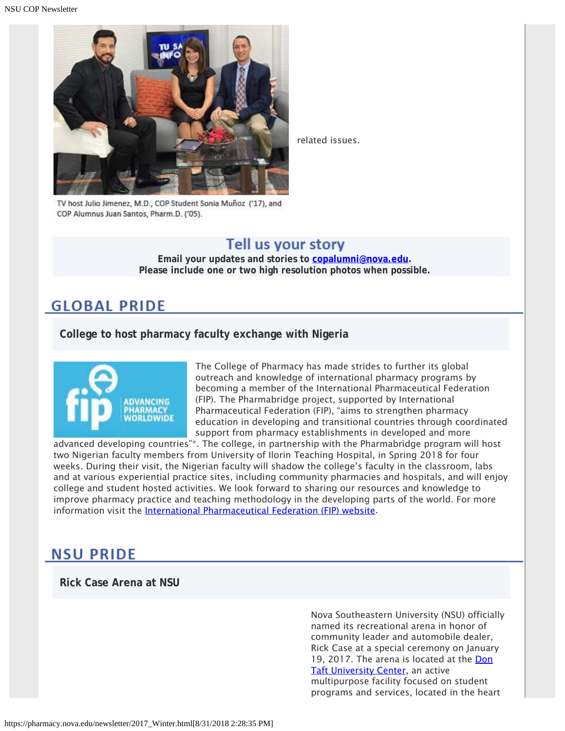

related issues.

TV host Julio Jimenez, M.D., COP Student Sonia Muñoz ('17), and COP Alumnus Juan Santos, Pharm.D. ('05).

## Tell us your story

**Email your updates and stories to [copalumni@nova.edu.](mailto:copalumni@nova.edu) Please include one or two high resolution photos when possible.**

## **GLOBAL PRIDE**

**College to host pharmacy faculty exchange with Nigeria**



The College of Pharmacy has made strides to further its global outreach and knowledge of international pharmacy programs by becoming a member of the International Pharmaceutical Federation (FIP). The Pharmabridge project, supported by International Pharmaceutical Federation (FIP), "aims to strengthen pharmacy education in developing and transitional countries through coordinated support from pharmacy establishments in developed and more

advanced developing countries"\*. The college, in partnership with the Pharmabridge program will host two Nigerian faculty members from University of Ilorin Teaching Hospital, in Spring 2018 for four weeks. During their visit, the Nigerian faculty will shadow the college's faculty in the classroom, labs and at various experiential practice sites, including community pharmacies and hospitals, and will enjoy college and student hosted activities. We look forward to sharing our resources and knowledge to improve pharmacy practice and teaching methodology in the developing parts of the world. For more information visit the *International Pharmaceutical Federation (FIP)* website.

## **NSU PRIDE**

**Rick Case Arena at NSU**

Nova Southeastern University (NSU) officially named its recreational arena in honor of community leader and automobile dealer, Rick Case at a special ceremony on January 19, 2017. The arena is located at the [Don](http://www.nova.edu/community/university-center.html) **Taft University Center**, an active multipurpose facility focused on student programs and services, located in the heart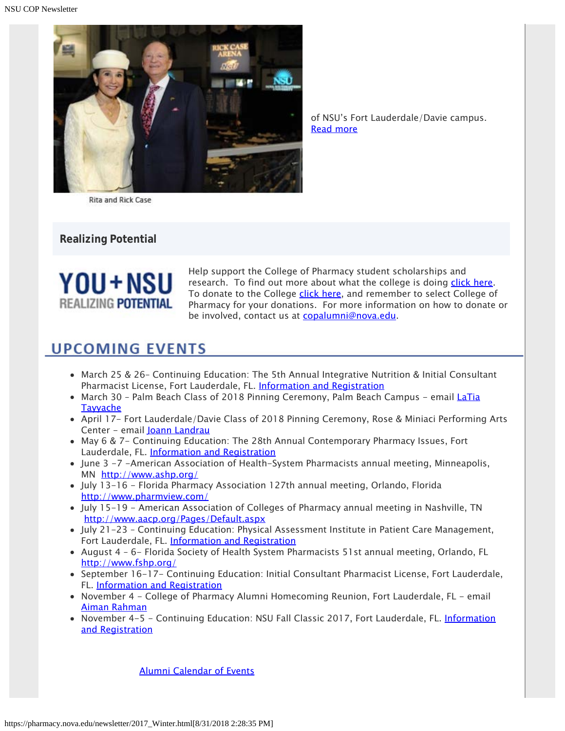

of NSU's Fort Lauderdale/Davie campus. [Read more](https://nsunews.nova.edu/nova-southeastern-university-names-arena-after-rick-case/)

**Rita and Rick Case** 

**Realizing Potential**



Help support the College of Pharmacy student scholarships and research. To find out more about what the college is doing [click here](https://www.nova.edu/publications/realizingpotential/pharmacy/). To donate to the College [click here](https://realizingpotential.nova.edu/give/index.html?area=Research&designation=AutoNation%20Institute%20for%20Breast%20and%20Solid%20Tumor%20Research), and remember to select College of Pharmacy for your donations. For more information on how to donate or be involved, contact us at [copalumni@nova.edu](mailto:copalumni@nova.edu).

## **UPCOMING EVENTS**

- March 25 & 26– Continuing Education: The 5th Annual Integrative Nutrition & Initial Consultant Pharmacist License, Fort Lauderdale, FL. [Information and Registration](http://pharmacy.nova.edu/ce/schedule.html)
- March 30 Palm Beach Class of 2018 Pinning Ceremony, Palm Beach Campus email [LaTia](mailto:lt589@nova.edu) **[Tayyache](mailto:lt589@nova.edu)**
- April 17- Fort Lauderdale/Davie Class of 2018 Pinning Ceremony, Rose & Miniaci Performing Arts Center - email [Joann Landrau](mailto:Jl999@nova.edu)
- May 6 & 7- Continuing Education: The 28th Annual Contemporary Pharmacy Issues, Fort Lauderdale, FL. [Information and Registration](http://pharmacy.nova.edu/ce/schedule.html)
- June 3 -7 -American Association of Health-System Pharmacists annual meeting, Minneapolis, MN <http://www.ashp.org/>
- July 13-16 Florida Pharmacy Association 127th annual meeting, Orlando, Florida <http://www.pharmview.com/>
- July 15-19 American Association of Colleges of Pharmacy annual meeting in Nashville, TN <http://www.aacp.org/Pages/Default.aspx>
- July 21-23 Continuing Education: Physical Assessment Institute in Patient Care Management, Fort Lauderdale, FL. [Information and Registration](http://pharmacy.nova.edu/ce/schedule.html)
- August 4 6- Florida Society of Health System Pharmacists 51st annual meeting, Orlando, FL <http://www.fshp.org/>
- September 16-17- Continuing Education: Initial Consultant Pharmacist License, Fort Lauderdale, FL. [Information and Registration](http://pharmacy.nova.edu/ce/schedule.html)
- November 4 College of Pharmacy Alumni Homecoming Reunion, Fort Lauderdale, FL email [Aiman Rahman](mailto:arahman@nova.edu)
- November 4-5 Continuing Education: NSU Fall Classic 2017, Fort Lauderdale, FL. [Information](http://pharmacy.nova.edu/ce/schedule.html) [and Registration](http://pharmacy.nova.edu/ce/schedule.html)

[Alumni Calendar of Events](http://pharmacy.nova.edu/documents/alumniCalendar.pdf)